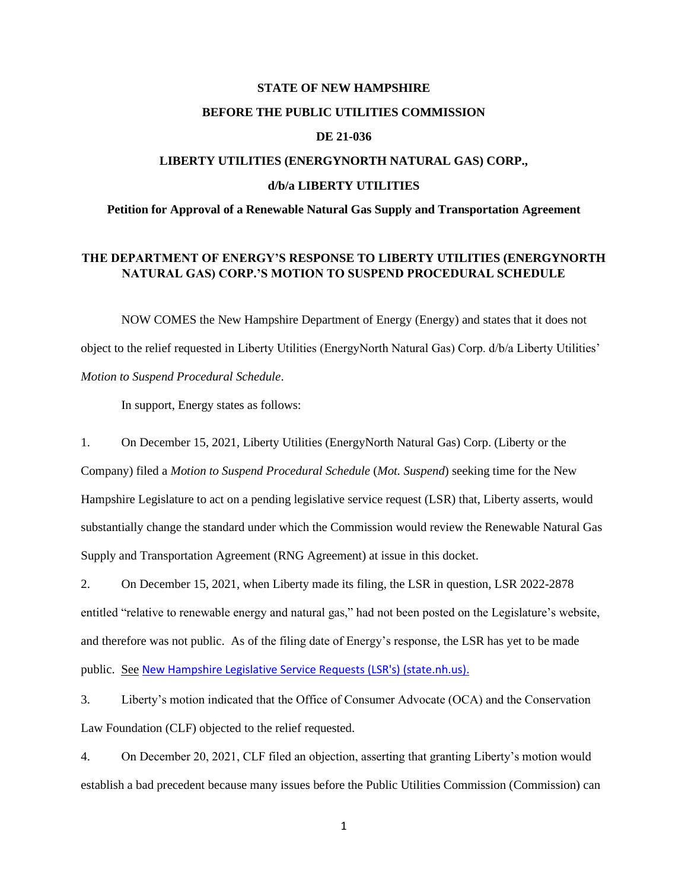### **STATE OF NEW HAMPSHIRE**

### **BEFORE THE PUBLIC UTILITIES COMMISSION**

## **DE 21-036**

# **LIBERTY UTILITIES (ENERGYNORTH NATURAL GAS) CORP., d/b/a LIBERTY UTILITIES**

## **Petition for Approval of a Renewable Natural Gas Supply and Transportation Agreement**

## **THE DEPARTMENT OF ENERGY'S RESPONSE TO LIBERTY UTILITIES (ENERGYNORTH NATURAL GAS) CORP.'S MOTION TO SUSPEND PROCEDURAL SCHEDULE**

NOW COMES the New Hampshire Department of Energy (Energy) and states that it does not object to the relief requested in Liberty Utilities (EnergyNorth Natural Gas) Corp. d/b/a Liberty Utilities' *Motion to Suspend Procedural Schedule*.

In support, Energy states as follows:

1. On December 15, 2021, Liberty Utilities (EnergyNorth Natural Gas) Corp. (Liberty or the Company) filed a *Motion to Suspend Procedural Schedule* (*Mot. Suspend*) seeking time for the New Hampshire Legislature to act on a pending legislative service request (LSR) that, Liberty asserts, would substantially change the standard under which the Commission would review the Renewable Natural Gas Supply and Transportation Agreement (RNG Agreement) at issue in this docket.

2. On December 15, 2021, when Liberty made its filing, the LSR in question, LSR 2022-2878 entitled "relative to renewable energy and natural gas," had not been posted on the Legislature's website, and therefore was not public. As of the filing date of Energy's response, the LSR has yet to be made public. See [New Hampshire Legislative Service Requests \(LSR's\) \(state.nh.us\).](http://www.gencourt.state.nh.us/lsr_search/)

3. Liberty's motion indicated that the Office of Consumer Advocate (OCA) and the Conservation Law Foundation (CLF) objected to the relief requested.

4. On December 20, 2021, CLF filed an objection, asserting that granting Liberty's motion would establish a bad precedent because many issues before the Public Utilities Commission (Commission) can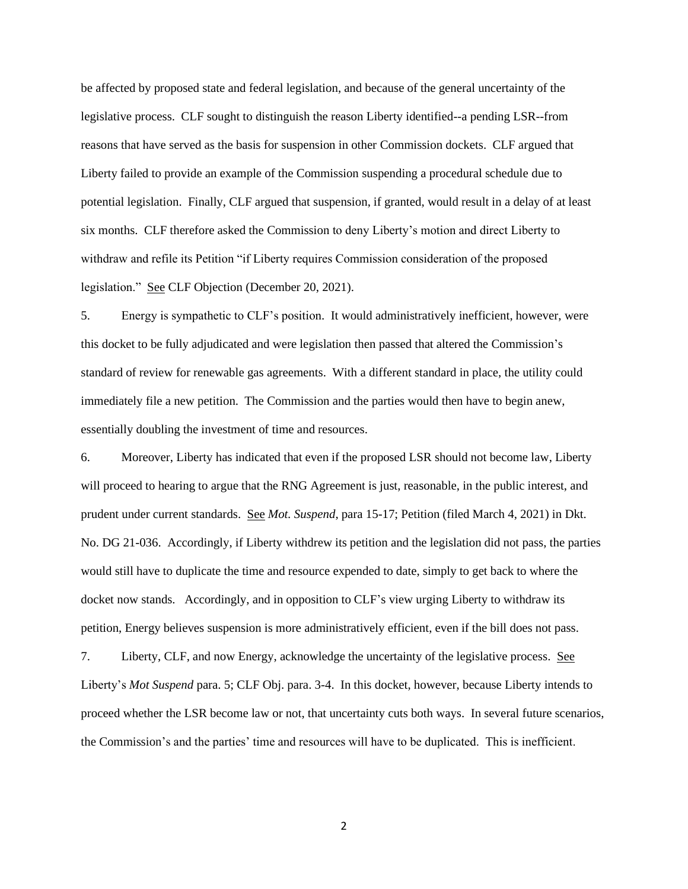be affected by proposed state and federal legislation, and because of the general uncertainty of the legislative process. CLF sought to distinguish the reason Liberty identified--a pending LSR--from reasons that have served as the basis for suspension in other Commission dockets. CLF argued that Liberty failed to provide an example of the Commission suspending a procedural schedule due to potential legislation. Finally, CLF argued that suspension, if granted, would result in a delay of at least six months. CLF therefore asked the Commission to deny Liberty's motion and direct Liberty to withdraw and refile its Petition "if Liberty requires Commission consideration of the proposed legislation." See CLF Objection (December 20, 2021).

5. Energy is sympathetic to CLF's position. It would administratively inefficient, however, were this docket to be fully adjudicated and were legislation then passed that altered the Commission's standard of review for renewable gas agreements. With a different standard in place, the utility could immediately file a new petition. The Commission and the parties would then have to begin anew, essentially doubling the investment of time and resources.

6. Moreover, Liberty has indicated that even if the proposed LSR should not become law, Liberty will proceed to hearing to argue that the RNG Agreement is just, reasonable, in the public interest, and prudent under current standards. See *Mot. Suspend*, para 15-17; Petition (filed March 4, 2021) in Dkt. No. DG 21-036. Accordingly, if Liberty withdrew its petition and the legislation did not pass, the parties would still have to duplicate the time and resource expended to date, simply to get back to where the docket now stands. Accordingly, and in opposition to CLF's view urging Liberty to withdraw its petition, Energy believes suspension is more administratively efficient, even if the bill does not pass.

7. Liberty, CLF, and now Energy, acknowledge the uncertainty of the legislative process. See Liberty's *Mot Suspend* para. 5; CLF Obj. para. 3-4. In this docket, however, because Liberty intends to proceed whether the LSR become law or not, that uncertainty cuts both ways. In several future scenarios, the Commission's and the parties' time and resources will have to be duplicated. This is inefficient.

2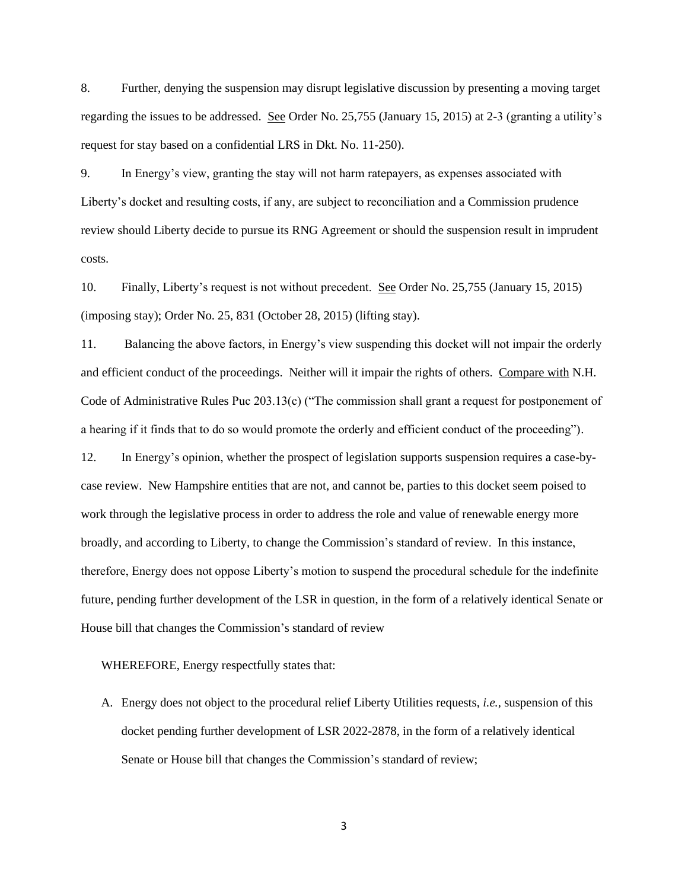8. Further, denying the suspension may disrupt legislative discussion by presenting a moving target regarding the issues to be addressed. See Order No. 25,755 (January 15, 2015) at 2-3 (granting a utility's request for stay based on a confidential LRS in Dkt. No. 11-250).

9. In Energy's view, granting the stay will not harm ratepayers, as expenses associated with Liberty's docket and resulting costs, if any, are subject to reconciliation and a Commission prudence review should Liberty decide to pursue its RNG Agreement or should the suspension result in imprudent costs.

10. Finally, Liberty's request is not without precedent. See Order No. 25,755 (January 15, 2015) (imposing stay); Order No. 25, 831 (October 28, 2015) (lifting stay).

11. Balancing the above factors, in Energy's view suspending this docket will not impair the orderly and efficient conduct of the proceedings. Neither will it impair the rights of others. Compare with N.H. Code of Administrative Rules Puc 203.13(c) ("The commission shall grant a request for postponement of a hearing if it finds that to do so would promote the orderly and efficient conduct of the proceeding").

12. In Energy's opinion, whether the prospect of legislation supports suspension requires a case-bycase review. New Hampshire entities that are not, and cannot be, parties to this docket seem poised to work through the legislative process in order to address the role and value of renewable energy more broadly, and according to Liberty, to change the Commission's standard of review. In this instance, therefore, Energy does not oppose Liberty's motion to suspend the procedural schedule for the indefinite future, pending further development of the LSR in question, in the form of a relatively identical Senate or House bill that changes the Commission's standard of review

WHEREFORE, Energy respectfully states that:

A. Energy does not object to the procedural relief Liberty Utilities requests, *i.e.,* suspension of this docket pending further development of LSR 2022-2878, in the form of a relatively identical Senate or House bill that changes the Commission's standard of review;

3